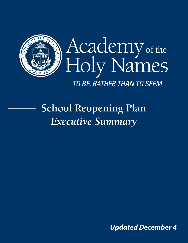

# **School Reopening Plan** *Executive Summary*

 *Updated December 4*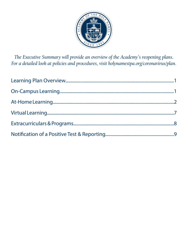

*The Executive Summary will provide an overview of the Academy's reopening plans. For a detailed look at policies and procedures, visit holynamestpa.org/coronavirus/plan.*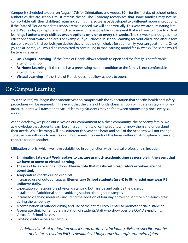Campus is scheduled to open on August 17th for Orientation, and August 19th for the first day of school, unless authorities declare schools must remain closed. The Academy recognizes that some families may not be comfortable with their child(ren) returning at this time, so we have developed two different reopening options. If the State of Florida mandates schools remain closed, we will open virtually. This year, we are eliminating latestart Wednesdays to capture as much academic time as possible in the event that we have to move to virtual learning**. Students may shift between options only once every six weeks.** The six-week period goes into effect once you switch choices. For example, if you choose in-school learning for your child, and after a few days or a week (a trial period), you decide that is not the right choice for your family, you can go at-home. Once you go at-home, you would be committed to continuing in that learning model for six weeks. The same would be true in reverse.

- **• On-Campus Learning** If the State of Florida allows schools to open and the family is comfortable attending school.
- **• At-Home Learning** If the child has a preexisting health condition or the family is not comfortable attending school.
- **• Virtual Learning** If the State of Florida does not allow schools to open.

# **On-Campus Learning**

Your child(ren) will begin the academic year on campus with the expectation that specific health and safety procedures will be required. In the event that the State of Florida closes schools or initiates a stay-at-homeorder, students will transition to virtual learning. Students may shift between options only once every six weeks.

At the Academy, we pride ourselves on our commitment to a close community–the Academy family. We acknowledge that students learn best in a community of caring adults who know them and understand their needs. While learning will look different this year, the heart and soul of the Academy will not change! Together, we will work to ensure our school meets the needs of the times within an atmosphere of care and concern for one another.

Mitigation efforts, which we have established in conjunction with medical professionals, include:

- **• Eliminating late-start Wednesdays to capture as much academic time as possible in the event that we have to move to virtual learning.**
- The use of face coverings indoors**. Please note that masks with respirators or valves are not permitted.**
- Temperature checks during drop-off.
- Increased use of outdoor spaces. **Elementary School students (pre-K to 8th grade) may wear PE uniforms daily.**
- Expectation of responsible physical distancing both inside and outside the classroom.
- Installation of additional hand-sanitizing stations throughout campus.
- Increased cleaning measures, including the addition of four day porters to sanitize high-touch areas during the school day.
- A combination of outdoor dining and use of the entire Brady Center to promote social distancing.
- A separate clinic for temporary isolation of students/staff who show possible COVID symptoms.
- Virtual All-School Masses.
- Limiting visitor access to campus.

*A detailed look at mitigation policies and protocols, including division-specific updates and a face covering FAQ, is available at holynamestpa.org/coronavirus/plan.*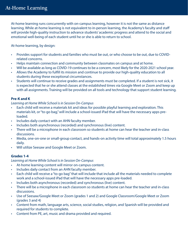At-home learning runs concurrently with on-campus learning, however it is not the same as distance learning. While at-home learning is not equivalent to in-person learning, the Academy's faculty and staff will provide high-quality instruction to advance students' academic progress and attend to the social and emotional well-being of each student until he or she is able to return to school.

At-home learning, by design:

- Provides support for students and families who must be out, or who choose to be out, due to COVIDrelated concerns.
- Helps maintain connection and community between classmates on campus and at home.
- Will be available as long as COVID-19 continues to be a concern, most likely for the 2020-2021 school year.
- Allows the Academy to fulfill its mission and continue to provide our high-quality education to all students during these exceptional circumstances.
- Students will continue to receive grades and assignments must be completed. If a student is not sick, it is expected that he or she attend classes at the established times via Google Meet or Zoom and keep up with all assignments. Training will be provided on all tools and technology that support student learning.

# **Pre-K and K**

#### *Learning at Home While School is in Session On-Campus*

- Each child will receive a materials kit and ideas for possible playful learning and exploration. This materials kit, or "to-go bag," will include a school-issued iPad that will have the necessary apps preloaded.
- Includes daily contact with an AHN faculty member.
- Includes both asynchronous (recorded) and synchronous (live) content.
- There will be a microphone in each classroom so students at home can hear the teacher and in-class discussions.
- Media, one-on-one or small-group contact, and hands-on activity time will total approximately 1.5 hours daily.
- Will utilize Seesaw and Google Meet or Zoom.

# **Grades 1-4**

# *Learning at Home While School is in Session On-Campus*

- At-home learning content will mirror on-campus content.
- Includes daily contact from an AHN faculty member.
- Each child will receive a "to-go bag" that will include that include all the materials needed to complete work and a school-issued iPad that will have the necessary apps pre-loaded.
- Includes both asynchronous (recorded) and synchronous (live) content.
- There will be a microphone in each classroom so students at home can hear the teacher and in-class discussions.
- Use of Seesaw/Google Meet or Zoom (grades 1 and 2) and Google Classroom/Google Meet or Zoom (grades 3 and 4)
- Content from math, language arts, science, social studies, religion, and Spanish will be provided and required for students to complete.
- Content from PE, art, music and drama provided and required.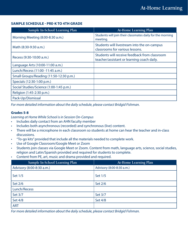#### **SAMPLE SCHEDULE - PRE-K TO 4TH GRADE**

| Sample In-School Learning Plan          | At-Home Learning Plan                                                                       |
|-----------------------------------------|---------------------------------------------------------------------------------------------|
| Morning Meeting (8:00-8:30 a.m.)        | Students will join their classmates daily for the morning<br>meeting.                       |
| Math (8:30-9:30 a.m.)                   | Students will livestream into the on-campus<br>classrooms for various lessons.              |
| Recess (9:30-10:00 a.m.)                | Students will receive feedback from classroom<br>teacher/assistant or learning coach daily. |
| Language Arts (10:00-11:00 a.m.)        |                                                                                             |
| Lunch/Recess (11:00 -11:45 a.m.)        |                                                                                             |
| Small Groups/Reading (11:50-12:30 p.m.) |                                                                                             |
| Specials (12:30-1:00 p.m.)              |                                                                                             |
| Social Studies/Science (1:00-1:45 p.m.) |                                                                                             |
| Religion (1:45-2:30 p.m.)               |                                                                                             |
| Pack-Up/Dismissal                       |                                                                                             |

*For more detailed information about the daily schedule, please contact Bridgid Fishman.*

#### **Grades 5-8**

*Learning at Home While School is in Session On-Campus*

- Includes daily contact from an AHN faculty member
- Includes both asynchronous (recorded) and synchronous (live) content.
- There will be a microphone in each classroom so students at home can hear the teacher and in-class discussions.
- "To-go kits" provided that include all the materials needed to complete work.
- Use of Google Classroom/Google Meet or Zoom
- Students join classes via Google Meet or Zoom. Content from math, language arts, science, social studies, religion and Latin/Spanish provided and required for students to complete.
- Content from PE, art, music and drama provided and required.

| Sample In-School Learning Plan | At-Home Learning Plan     |
|--------------------------------|---------------------------|
| Advisory (8:00-8:30 a.m.)      | Advisory (8:00-8:30 a.m.) |
| Set 1/5                        | Set 1/5                   |
| Set 2/6                        | Set 2/6                   |
| Lunch/Recess                   |                           |
| Set 3/7                        | Set 3/7                   |
| Set 4/8                        | Set 4/8                   |
| <b>ART</b>                     |                           |

*For more detailed information about the daily schedule, please contact Bridgid Fishman.*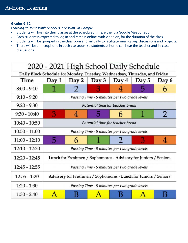# **Grades 9-12**

*Learning at Home While School is in Session On-Campus*

- Students will log into their classes at the scheduled time, either via Google Meet or Zoom.
- Each student is expected to log in and remain online, with video on, for the duration of the class.
- Students will be grouped in the classroom and virtually to facilitate small-group discussions and projects.
- There will be a microphone in each classroom so students at home can hear the teacher and in-class discussions.

| 2020 - 2021 High School Daily Schedule                                     |                                                                  |       |       |       |       |       |
|----------------------------------------------------------------------------|------------------------------------------------------------------|-------|-------|-------|-------|-------|
| Daily Block Schedule for Monday, Tuesday, Wednesdsay, Thursday, and Friday |                                                                  |       |       |       |       |       |
| Time                                                                       | Day 1                                                            | Day 2 | Day 3 | Day 4 | Day 5 | Day 6 |
| $8:00 - 9:10$                                                              |                                                                  |       |       |       |       |       |
| $9:10 - 9:20$                                                              | Passing Time - 5 minutes per two grade levels                    |       |       |       |       |       |
| $9:20 - 9:30$                                                              | Potential time for teacher break                                 |       |       |       |       |       |
| $9:30 - 10:40$                                                             | З                                                                | 4     |       |       |       | 2     |
| 10:40 - 10:50                                                              | Potential time for teacher break                                 |       |       |       |       |       |
| $10:50 - 11:00$                                                            | Passing Time - 5 minutes per two grade levels                    |       |       |       |       |       |
| $11:00 - 12:10$                                                            | 5                                                                | 6     |       |       |       | 4     |
| $12:10 - 12:20$                                                            | Passing Time - 5 minutes per two grade levels                    |       |       |       |       |       |
| $12:20 - 12:45$                                                            | Lunch for Freshmen / Sophomores - Advisory for Juniors / Seniors |       |       |       |       |       |
| $12:45 - 12:55$                                                            | Passing Time - 5 minutes per two grade levels                    |       |       |       |       |       |
| $12:55 - 1:20$                                                             | Advisory for Freshmen / Sophomores - Lunch for Juniors / Seniors |       |       |       |       |       |
| $1:20 - 1:30$                                                              | Passing Time - 5 minutes per two grade levels                    |       |       |       |       |       |
| $1:30 - 2:40$                                                              |                                                                  |       |       |       |       |       |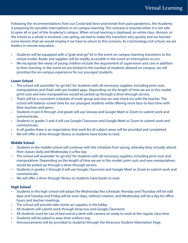Following the recommendations from our Covid task force and trends from past pandemics, the Academy is preparing for possible interruptions in on-campus learning. This scenario is enacted when it is not safe to open all or part of the Academy's campus. When virtual learning is deployed, an entire class, division, or the school as a whole is involved. Last spring, we had to make this transition very quickly and we learned some lessons that we would employ if we have to return to this scenario. As a technology-rich school, we are leaders in remote education.

- Students will be equipped with a "grab-and-go" kit in the event on-campus learning transitions to the virtual model. Books and supplies will be readily accessible in the event an interruption occurs.
- We recognize the needs of young children include the requirement of supervision and care in addition to their learning. In the event we are limited to the number of students allowed on campus, we will prioritize the on-campus experience for our youngest students.

# **Lower School**

- The school will assemble "to-go kits" for students with all necessary supplies, including print-outs, manipulatives and iPads with pre-loaded apps. Depending on the length of time we are in this model, print-outs and new manipulatives would be picked up through a drive-through service.
- There will be a consistent schedule of small-group and one-on-one check-ins with the teacher. The school will balance screen time for our youngest students while offering more face-to-face time with their teachers and peers.
- Students in pre-K through 2nd grade will use Seesaw and Google Meet or Zoom to submit work and communicate.
- Students in grades 3 and 4 will use Google Classroom and Google Meet or Zoom to submit work and communicate.
- In all grades there is an expectation that work for all subject areas will be provided and completed.
- We will offer a drive-through library so students have books to read.

# **Middle School**

- Students in the middle school will continue with the schedule from spring, whereby they virtually attend their classes daily and Wednesday is a flex day.
- The school will assemble "to-go kits" for students with all necessary supplies, including print-outs and manipulatives. Depending on the length of time we are in this model, print-outs and new manipulatives would be picked up through a drive-through service.
- Students in grades 5 through 8 will use Google Classroom and Google Meet or Zoom to submit work and communicate.
- We will offer a drive-through library so students have books to read.

# **High School**

- Students in the high school will adopt the Wednesday flex schedule. Monday and Thursday will be odd days and Tuesday and Friday will be even days, without rotation, and Wednesday will be a day for office hours and teacher meetings.
- The school will provide take-home art supplies in the lobby.
- All students will submit work through Veracross and Google Classroom.
- All students must be out of bed and at a desk with camera on ready to work at the regular class time.
- Students will be asked to wear their uniform top.
- Announcements will be provided to students through the Veracross Student Information Page.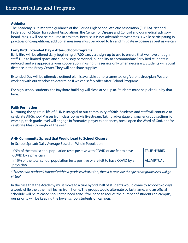#### **Athletics**

The Academy is utilizing the guidance of the Florida High School Athletic Association (FHSAA), National Federation of State High School Associations, the Center for Disease and Control and our medical advisory board. Masks will not be required in athletics. Because it is not advisable to wear masks while participating in practices or competitions, additional measures must be added to try and mitigate exposure as best as we can.

#### **Early Bird, Extended Day + After-School Programs**

Early Bird will be offered daily beginning at 7:00 a.m. via a sign-up to use to ensure that we have enough staff. Due to limited space and supervisory personnel, our ability to accommodate Early Bird students is reduced, and we appreciate your cooperation in using this service only when necessary. Students will social distance in the Brady Center. They will not share supplies.

Extended Day will be offered; a defined plan is available at holynamestpa.org/coronavirus/plan. We are working with our vendors to determine if we can safely offer After-School Programs.

For high school students, the Bayshore building will close at 5:00 p.m. Students must be picked up by that time.

#### **Faith Formation**

Nurturing the spiritual life of AHN is integral to our community of faith. Students and staff will continue to celebrate All-School Masses from classrooms via livestream. Taking advantage of smaller group settings for worship, each grade level will engage in formative prayer experiences, break open the Word of God, and/or celebrate Mass throughout the year.

#### **AHN Community Spread that Would Lead to School Closure**

In-School Spread: Daily Average Based on Whole Population

| If 5% of the total school population tests positive with COVID or are felt to have  | <b>TRUE HYBRID</b>   |
|-------------------------------------------------------------------------------------|----------------------|
| COVID by a physician                                                                |                      |
| If 10% of the total school population tests positive or are felt to have COVID by a | <b>I ALL VIRTUAL</b> |
| physician                                                                           |                      |

*\*If there is an outbreak isolated within a grade level/division, then it is possible that just that grade level will go virtual.*

In the case that the Academy must move to a true hybrid, half of students would come to school two days a week while the other half learns from home. The groups would alternate by last name, and an official schedule will be released should the need arise. If we need to reduce the number of students on campus, our priority will be keeping the lower school students on campus.